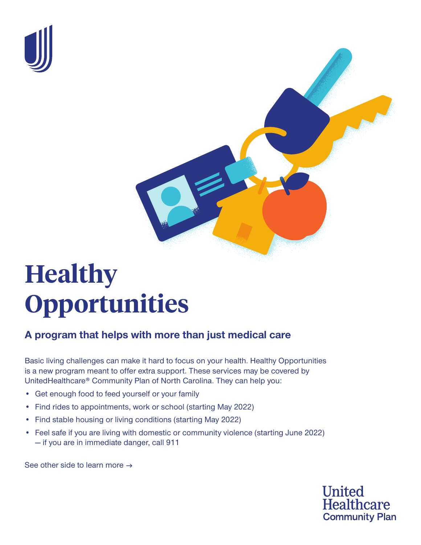



# **Healthy Opportunities**

## **A program that helps with more than just medical care**

Basic living challenges can make it hard to focus on your health. Healthy Opportunities is a new program meant to offer extra support. These services may be covered by UnitedHealthcare® Community Plan of North Carolina. They can help you:

- Get enough food to feed yourself or your family
- Find rides to appointments, work or school (starting May 2022)
- Find stable housing or living conditions (starting May 2022)
- Feel safe if you are living with domestic or community violence (starting June 2022) — if you are in immediate danger, call 911

See other side to learn more  $\rightarrow$ 

**United Healthcare Community Plan**